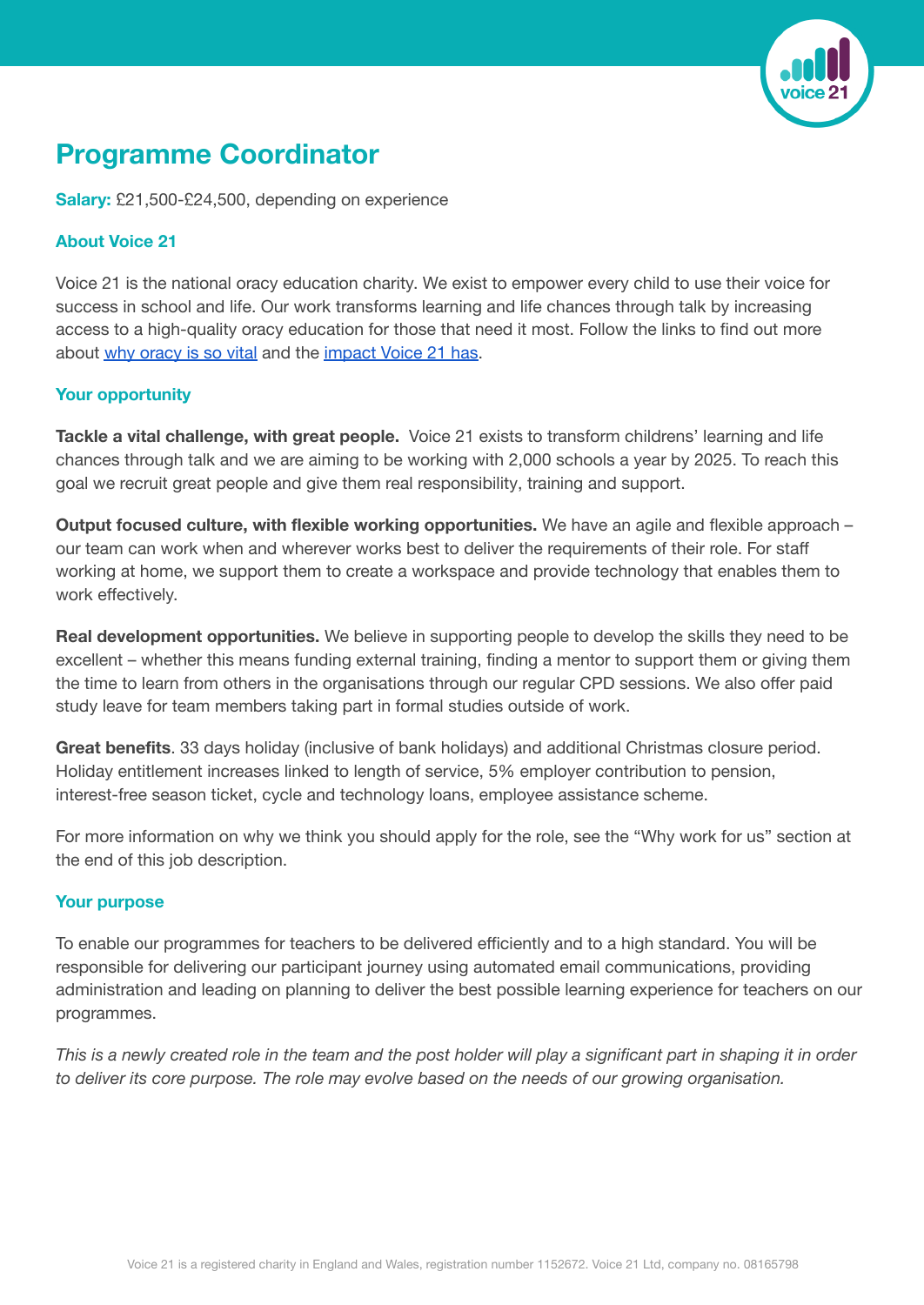

## **Programme Coordinator**

**Salary:** £21,500-£24,500, depending on experience

## **About Voice 21**

Voice 21 is the national oracy education charity. We exist to empower every child to use their voice for success in school and life. Our work transforms learning and life chances through talk by increasing access to a high-quality oracy education for those that need it most. Follow the links to find out more about why [oracy](https://vimeo.com/690486594/1778126bac) is so vital and the [impact](https://voice21.org/wp-content/uploads/2022/03/Voice21-Impact-Report-2022-v22-print.pdf) Voice 21 has.

## **Your opportunity**

**Tackle a vital challenge, with great people.** Voice 21 exists to transform childrens' learning and life chances through talk and we are aiming to be working with 2,000 schools a year by 2025. To reach this goal we recruit great people and give them real responsibility, training and support.

**Output focused culture, with flexible working opportunities.** We have an agile and flexible approach – our team can work when and wherever works best to deliver the requirements of their role. For staff working at home, we support them to create a workspace and provide technology that enables them to work effectively.

**Real development opportunities.** We believe in supporting people to develop the skills they need to be excellent – whether this means funding external training, finding a mentor to support them or giving them the time to learn from others in the organisations through our regular CPD sessions. We also offer paid study leave for team members taking part in formal studies outside of work.

**Great benefits**. 33 days holiday (inclusive of bank holidays) and additional Christmas closure period. Holiday entitlement increases linked to length of service, 5% employer contribution to pension, interest-free season ticket, cycle and technology loans, employee assistance scheme.

For more information on why we think you should apply for the role, see the "Why work for us" section at the end of this job description.

## **Your purpose**

To enable our programmes for teachers to be delivered efficiently and to a high standard. You will be responsible for delivering our participant journey using automated email communications, providing administration and leading on planning to deliver the best possible learning experience for teachers on our programmes.

This is a newly created role in the team and the post holder will play a significant part in shaping it in order *to deliver its core purpose. The role may evolve based on the needs of our growing organisation.*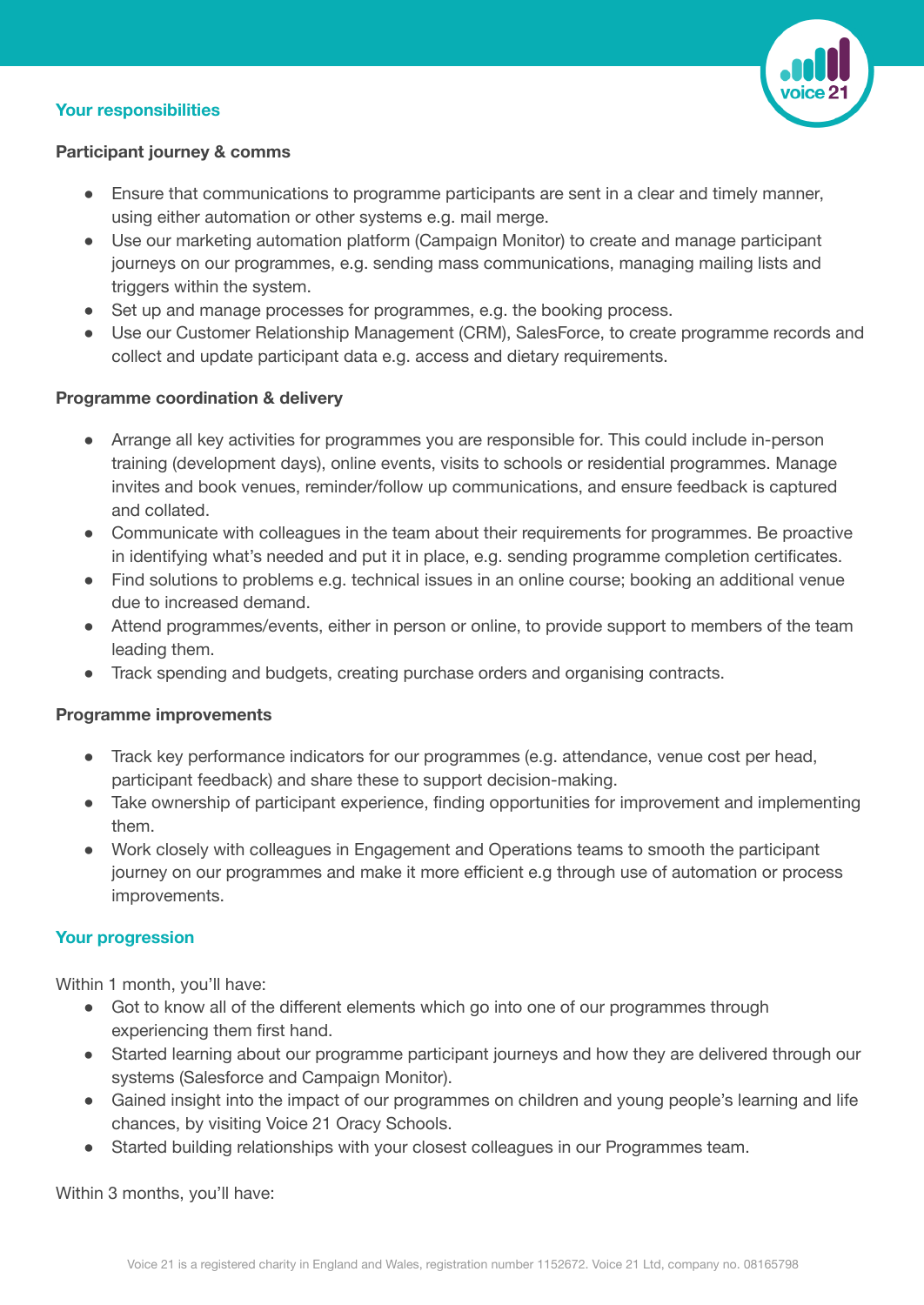### **Your responsibilities**



## **Participant journey & comms**

- Ensure that communications to programme participants are sent in a clear and timely manner, using either automation or other systems e.g. mail merge.
- Use our marketing automation platform (Campaign Monitor) to create and manage participant journeys on our programmes, e.g. sending mass communications, managing mailing lists and triggers within the system.
- Set up and manage processes for programmes, e.g. the booking process.
- Use our Customer Relationship Management (CRM), SalesForce, to create programme records and collect and update participant data e.g. access and dietary requirements.

## **Programme coordination & delivery**

- Arrange all key activities for programmes you are responsible for. This could include in-person training (development days), online events, visits to schools or residential programmes. Manage invites and book venues, reminder/follow up communications, and ensure feedback is captured and collated.
- Communicate with colleagues in the team about their requirements for programmes. Be proactive in identifying what's needed and put it in place, e.g. sending programme completion certificates.
- Find solutions to problems e.g. technical issues in an online course; booking an additional venue due to increased demand.
- Attend programmes/events, either in person or online, to provide support to members of the team leading them.
- Track spending and budgets, creating purchase orders and organising contracts.

#### **Programme improvements**

- Track key performance indicators for our programmes (e.g. attendance, venue cost per head, participant feedback) and share these to support decision-making.
- Take ownership of participant experience, finding opportunities for improvement and implementing them.
- Work closely with colleagues in Engagement and Operations teams to smooth the participant journey on our programmes and make it more efficient e.g through use of automation or process improvements.

#### **Your progression**

Within 1 month, you'll have:

- Got to know all of the different elements which go into one of our programmes through experiencing them first hand.
- Started learning about our programme participant journeys and how they are delivered through our systems (Salesforce and Campaign Monitor).
- Gained insight into the impact of our programmes on children and young people's learning and life chances, by visiting Voice 21 Oracy Schools.
- Started building relationships with your closest colleagues in our Programmes team.

Within 3 months, you'll have: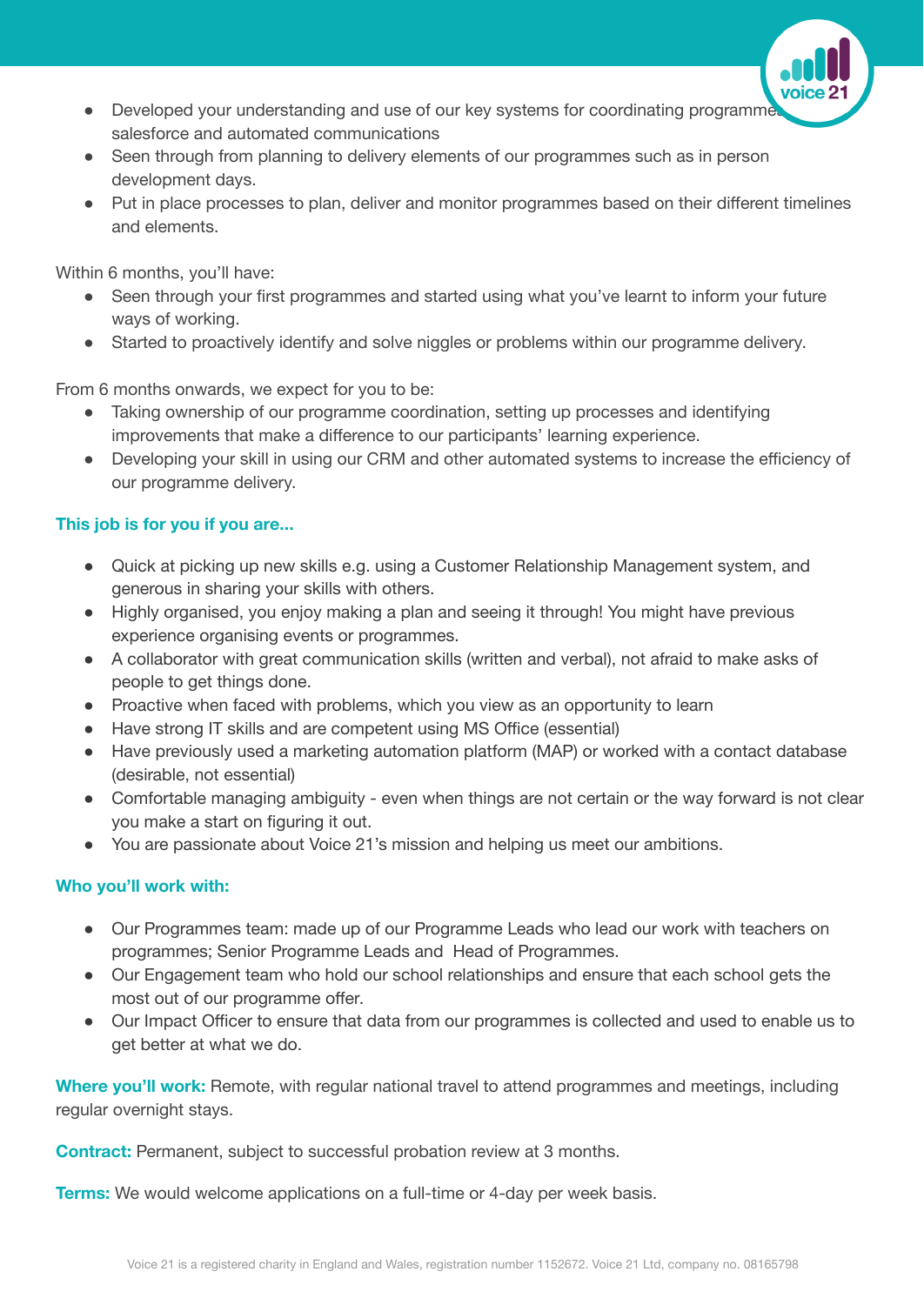- Developed your understanding and use of our key systems for coordinating programme salesforce and automated communications
- Seen through from planning to delivery elements of our programmes such as in person development days.
- Put in place processes to plan, deliver and monitor programmes based on their different timelines and elements.

Within 6 months, you'll have:

- Seen through your first programmes and started using what you've learnt to inform your future ways of working.
- Started to proactively identify and solve niggles or problems within our programme delivery.

From 6 months onwards, we expect for you to be:

- Taking ownership of our programme coordination, setting up processes and identifying improvements that make a difference to our participants' learning experience.
- Developing your skill in using our CRM and other automated systems to increase the efficiency of our programme delivery.

## **This job is for you if you are...**

- Quick at picking up new skills e.g. using a Customer Relationship Management system, and generous in sharing your skills with others.
- Highly organised, you enjoy making a plan and seeing it through! You might have previous experience organising events or programmes.
- A collaborator with great communication skills (written and verbal), not afraid to make asks of people to get things done.
- Proactive when faced with problems, which you view as an opportunity to learn
- Have strong IT skills and are competent using MS Office (essential)
- Have previously used a marketing automation platform (MAP) or worked with a contact database (desirable, not essential)
- Comfortable managing ambiguity even when things are not certain or the way forward is not clear you make a start on figuring it out.
- You are passionate about Voice 21's mission and helping us meet our ambitions.

## **Who you'll work with:**

- Our Programmes team: made up of our Programme Leads who lead our work with teachers on programmes; Senior Programme Leads and Head of Programmes.
- Our Engagement team who hold our school relationships and ensure that each school gets the most out of our programme offer.
- Our Impact Officer to ensure that data from our programmes is collected and used to enable us to get better at what we do.

**Where you'll work:** Remote, with regular national travel to attend programmes and meetings, including regular overnight stays.

**Contract:** Permanent, subject to successful probation review at 3 months.

**Terms:** We would welcome applications on a full-time or 4-day per week basis.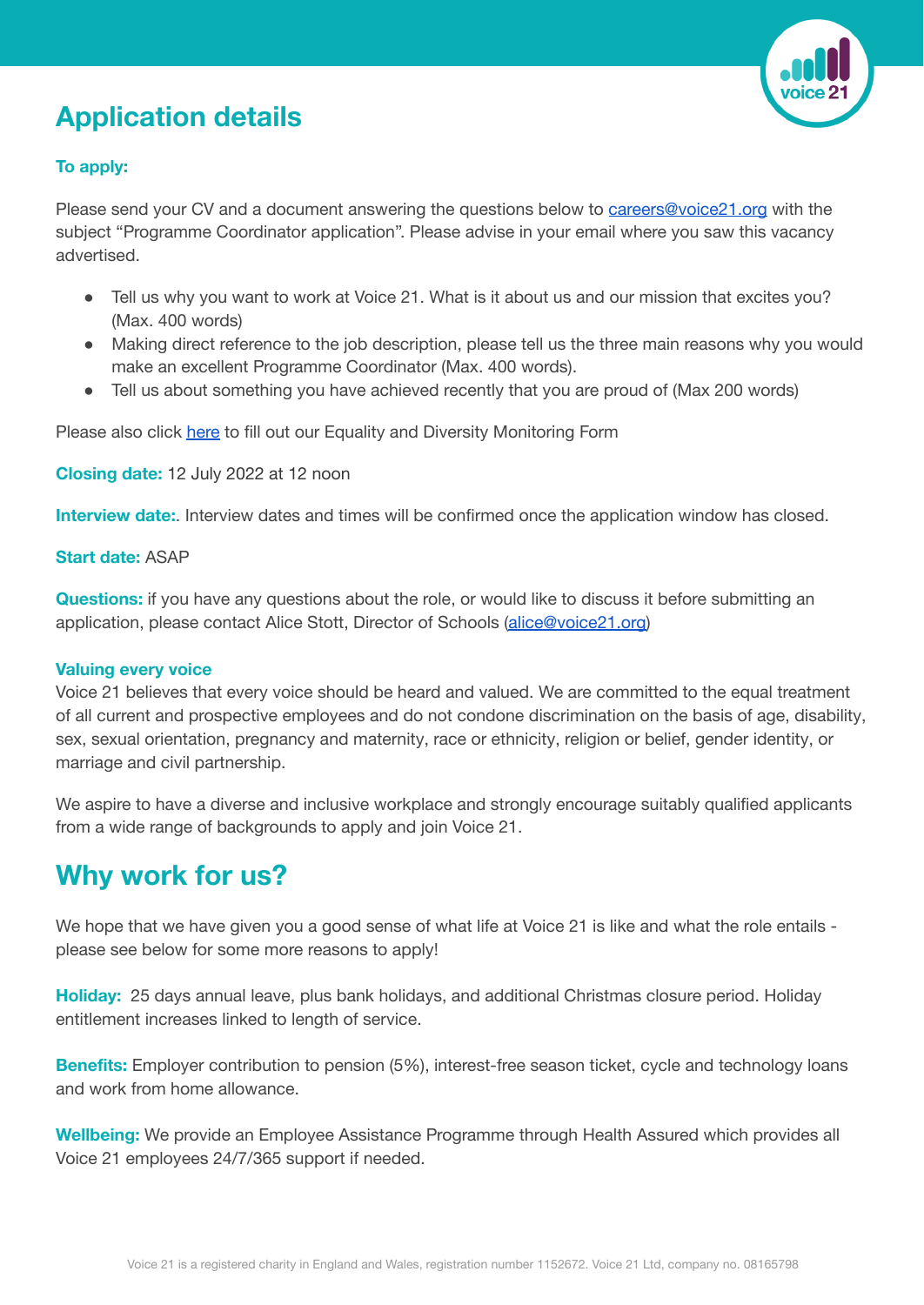# **Application details**



## **To apply:**

Please send your CV and a document answering the questions below to [careers@voice21.org](mailto:careers@voice21.org) with the subject "Programme Coordinator application". Please advise in your email where you saw this vacancy advertised.

- Tell us why you want to work at Voice 21. What is it about us and our mission that excites you? (Max. 400 words)
- Making direct reference to the job description, please tell us the three main reasons why you would make an excellent Programme Coordinator (Max. 400 words).
- Tell us about something you have achieved recently that you are proud of (Max 200 words)

Please also click [here](https://www.tfaforms.com/4902216) to fill out our Equality and Diversity Monitoring Form

**Closing date:** 12 July 2022 at 12 noon

**Interview date:**. Interview dates and times will be confirmed once the application window has closed.

#### **Start date:** ASAP

**Questions:** if you have any questions about the role, or would like to discuss it before submitting an application, please contact Alice Stott, Director of Schools [\(alice@voice21.org\)](mailto:alice@voice21.org)

#### **Valuing every voice**

Voice 21 believes that every voice should be heard and valued. We are committed to the equal treatment of all current and prospective employees and do not condone discrimination on the basis of age, disability, sex, sexual orientation, pregnancy and maternity, race or ethnicity, religion or belief, gender identity, or marriage and civil partnership.

We aspire to have a diverse and inclusive workplace and strongly encourage suitably qualified applicants from a wide range of backgrounds to apply and join Voice 21.

## **Why work for us?**

We hope that we have given you a good sense of what life at Voice 21 is like and what the role entails please see below for some more reasons to apply!

**Holiday:** 25 days annual leave, plus bank holidays, and additional Christmas closure period. Holiday entitlement increases linked to length of service.

**Benefits:** Employer contribution to pension (5%), interest-free season ticket, cycle and technology loans and work from home allowance.

**Wellbeing:** We provide an Employee Assistance Programme through Health Assured which provides all Voice 21 employees 24/7/365 support if needed.